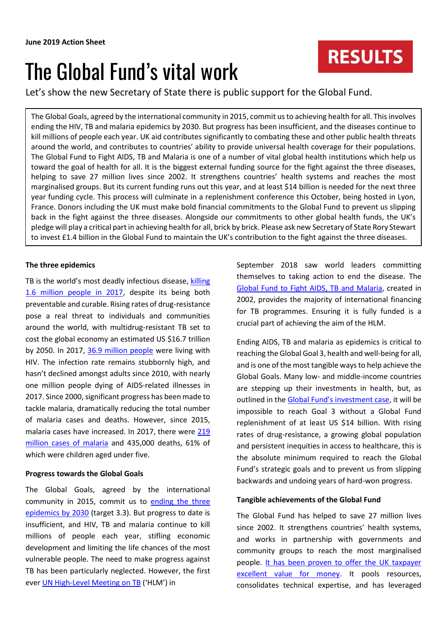# The Global Fund's vital work

Let's show the new Secretary of State there is public support for the Global Fund.

The Global Goals, agreed by the international community in 2015, commit us to achieving health for all. This involves ending the HIV, TB and malaria epidemics by 2030. But progress has been insufficient, and the diseases continue to kill millions of people each year. UK aid contributes significantly to combating these and other public health threats around the world, and contributes to countries' ability to provide universal health coverage for their populations. The Global Fund to Fight AIDS, TB and Malaria is one of a number of vital global health institutions which help us toward the goal of health for all. It is the biggest external funding source for the fight against the three diseases, helping to save 27 million lives since 2002. It strengthens countries' health systems and reaches the most marginalised groups. But its current funding runs out this year, and at least \$14 billion is needed for the next three year funding cycle. This process will culminate in a replenishment conference this October, being hosted in Lyon, France. Donors including the UK must make bold financial commitments to the Global Fund to prevent us slipping back in the fight against the three diseases. Alongside our commitments to other global health funds, the UK's pledge will play a critical part in achieving health for all, brick by brick. Please ask new Secretary of State Rory Stewart to invest £1.4 billion in the Global Fund to maintain the UK's contribution to the fight against the three diseases.

## **The three epidemics**

TB is the world's most deadly infectious disease, [killing](https://www.who.int/tb/publications/global_report/en/)  [1.6 million people in 2017,](https://www.who.int/tb/publications/global_report/en/) despite its being both preventable and curable. Rising rates of drug-resistance pose a real threat to individuals and communities around the world, with multidrug-resistant TB set to cost the global economy an estimated US \$16.7 trillion by 2050. In 2017, [36.9 million people](http://www.unaids.org/en/resources/fact-sheet) were living with HIV. The infection rate remains stubbornly high, and hasn't declined amongst adults since 2010, with nearly one million people dying of AIDS-related illnesses in 2017. Since 2000, significant progress has been made to tackle malaria, dramatically reducing the total number of malaria cases and deaths. However, since 2015, malaria cases have increased. In 2017, there were [219](https://www.who.int/malaria/publications/world-malaria-report-2018/en/)  [million cases of malaria](https://www.who.int/malaria/publications/world-malaria-report-2018/en/) and 435,000 deaths, 61% of which were children aged under five.

### **Progress towards the Global Goals**

The Global Goals, agreed by the international community in 2015, commit us to [ending the three](https://www.globalgoals.org/3-good-health-and-well-being) [epidemics](https://www.globalgoals.org/3-good-health-and-well-being) by 2030 (target 3.3). But progress to date is insufficient, and HIV, TB and malaria continue to kill millions of people each year, stifling economic development and limiting the life chances of the most vulnerable people. The need to make progress against TB has been particularly neglected. However, the first ever [UN High-Level](http://www.stoptb.org/assets/documents/news/UN%20HLM%20FAQ%20rev.pdf) Meeting on TB ('HLM') in

September 2018 saw world leaders committing themselves to taking action to end the disease. The [Global Fund to Fight AIDS, TB and Malaria,](https://www.theglobalfund.org/en/) created in 2002, provides the majority of international financing for TB programmes. Ensuring it is fully funded is a crucial part of achieving the aim of the HLM.

Ending AIDS, TB and malaria as epidemics is critical to reaching the Global Goal 3, health and well-being for all, and is one of the most tangible ways to help achieve the Global Goals. Many low- and middle-income countries are stepping up their investments in health, but, as outlined in the [Global Fund's investment case](https://www.theglobalfund.org/en/stepupthefight/), it will be impossible to reach Goal 3 without a Global Fund replenishment of at least US \$14 billion. With rising rates of drug-resistance, a growing global population and persistent inequities in access to healthcare, this is the absolute minimum required to reach the Global Fund's strategic goals and to prevent us from slipping backwards and undoing years of hard-won progress.

### **Tangible achievements of the Global Fund**

The Global Fund has helped to save 27 million lives since 2002. It strengthens countries' health systems, and works in partnership with governments and community groups to reach the most marginalised people. [It has been proven to offer the UK taxpayer](https://assets.publishing.service.gov.uk/government/uploads/system/uploads/attachment_data/file/573884/Multilateral-Development-Review-Dec2016.pdf)  [excellent value for money.](https://assets.publishing.service.gov.uk/government/uploads/system/uploads/attachment_data/file/573884/Multilateral-Development-Review-Dec2016.pdf) It pools resources, consolidates technical expertise, and has leveraged